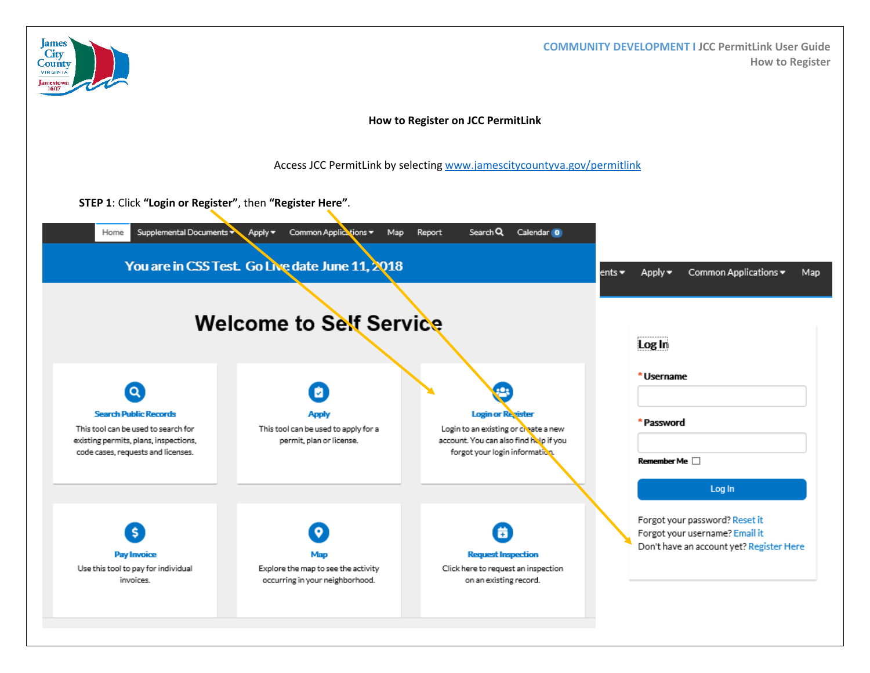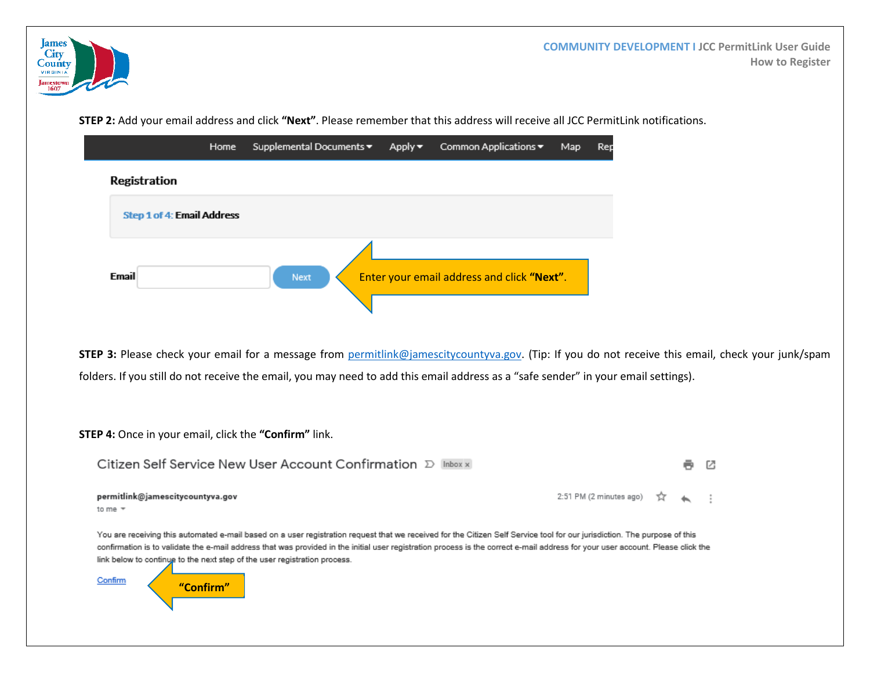

**STEP 2:** Add your email address and click **"Next"**. Please remember that this address will receive all JCC PermitLink notifications.

|                                   | Home | Supplemental Documents ▼ | Apply▼ | Common Applications ▼                      | Map | Rep |
|-----------------------------------|------|--------------------------|--------|--------------------------------------------|-----|-----|
| Registration                      |      |                          |        |                                            |     |     |
| <b>Step 1 of 4: Email Address</b> |      |                          |        |                                            |     |     |
|                                   |      |                          |        |                                            |     |     |
| Email                             |      | Next                     |        | Enter your email address and click "Next". |     |     |
|                                   |      |                          |        |                                            |     |     |

**STEP 3:** Please check your email for a message from [permitlink@jamescitycountyva.gov.](mailto:permitlink@jamescitycountyva.gov) (Tip: If you do not receive this email, check your junk/spam folders. If you still do not receive the email, you may need to add this email address as a "safe sender" in your email settings).

**STEP 4:** Once in your email, click the **"Confirm"** link.

permitlink@jamescitycountyva.gov

| Citizen Self Service New User Account Confirmation D Inbox x | 5 G |
|--------------------------------------------------------------|-----|
|                                                              |     |

2:51 PM (2 minutes ago)  $\overrightarrow{\lambda}$  < :

to me  $\sqrt{*}$ 

You are receiving this automated e-mail based on a user registration request that we received for the Citizen Self Service tool for our jurisdiction. The purpose of this confirmation is to validate the e-mail address that was provided in the initial user registration process is the correct e-mail address for your user account. Please click the link below to continue to the next step of the user registration process.

Confirm

**"Confirm"**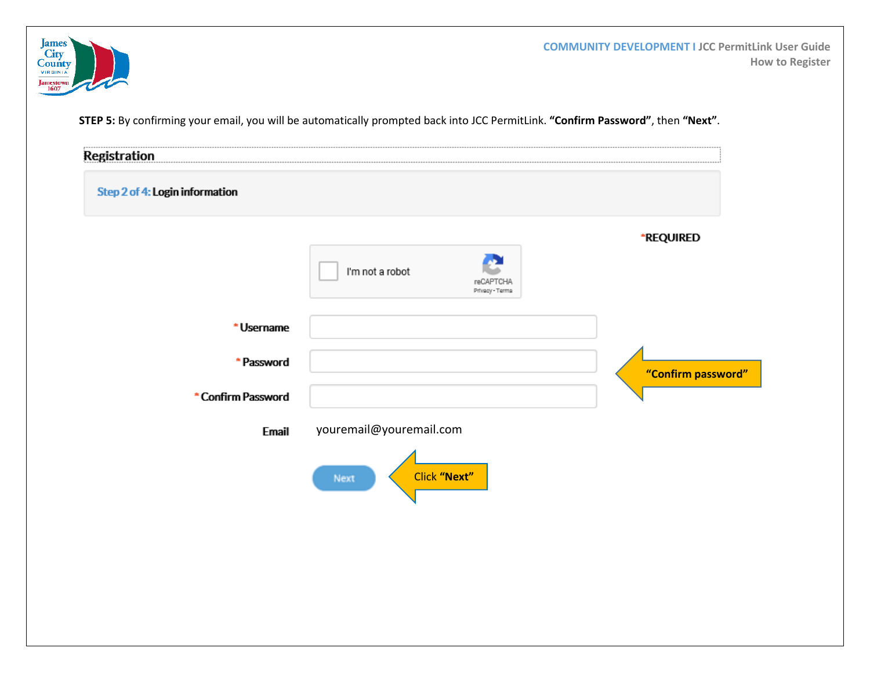

**COMMUNITY DEVELOPMENT I JCC PermitLink User Guide How to Register**

**STEP 5:** By confirming your email, you will be automatically prompted back into JCC PermitLink. **"Confirm Password"**, then **"Next"**.

| <b>Registration</b>            |                                                 |                    |
|--------------------------------|-------------------------------------------------|--------------------|
| Step 2 of 4: Login information |                                                 |                    |
|                                | I'm not a robot<br>reCAPTCHA<br>Privacy - Terma | <b>*REQUIRED</b>   |
| * Username                     |                                                 |                    |
| * Password                     |                                                 | "Confirm password" |
| * Confirm Password             |                                                 |                    |
| Email                          | youremail@youremail.com                         |                    |
|                                | Click "Next"<br>Next                            |                    |
|                                |                                                 |                    |
|                                |                                                 |                    |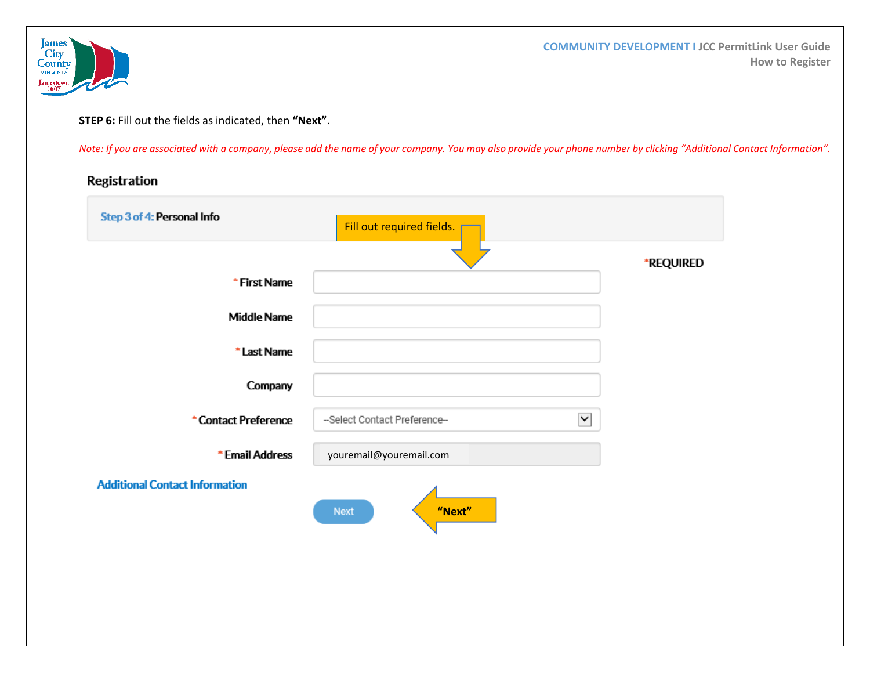

**COMMUNITY DEVELOPMENT I JCC PermitLink User Guide How to Register**

**STEP 6:** Fill out the fields as indicated, then **"Next"**.

*Note: If you are associated with a company, please add the name of your company. You may also provide your phone number by clicking "Additional Contact Information".*

## Registration

| Step 3 of 4: Personal Info            | Fill out required fields.                     |                  |
|---------------------------------------|-----------------------------------------------|------------------|
|                                       |                                               | <b>*REQUIRED</b> |
| * First Name                          |                                               |                  |
| <b>Middle Name</b>                    |                                               |                  |
| * Last Name                           |                                               |                  |
| Company                               |                                               |                  |
| *Contact Preference                   | $\checkmark$<br>--Select Contact Preference-- |                  |
| * Email Address                       | youremail@youremail.com                       |                  |
| <b>Additional Contact Information</b> | "Next"<br><b>Next</b>                         |                  |